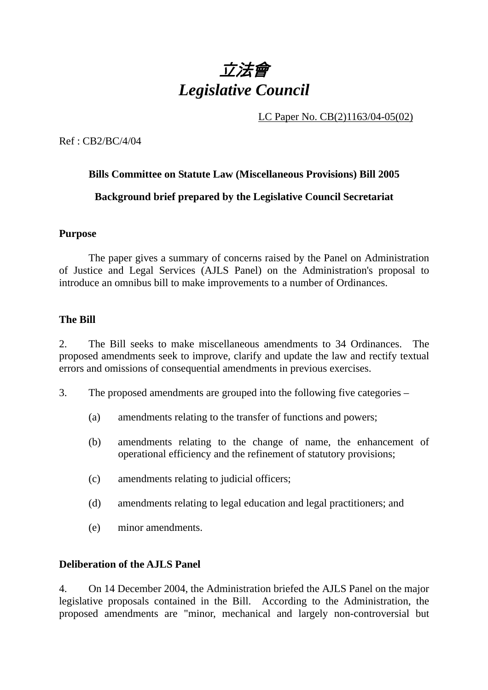

LC Paper No. CB(2)1163/04-05(02)

Ref : CB2/BC/4/04

# **Bills Committee on Statute Law (Miscellaneous Provisions) Bill 2005 Background brief prepared by the Legislative Council Secretariat**

#### **Purpose**

 The paper gives a summary of concerns raised by the Panel on Administration of Justice and Legal Services (AJLS Panel) on the Administration's proposal to introduce an omnibus bill to make improvements to a number of Ordinances.

#### **The Bill**

2. The Bill seeks to make miscellaneous amendments to 34 Ordinances. The proposed amendments seek to improve, clarify and update the law and rectify textual errors and omissions of consequential amendments in previous exercises.

3. The proposed amendments are grouped into the following five categories –

- (a) amendments relating to the transfer of functions and powers;
- (b) amendments relating to the change of name, the enhancement of operational efficiency and the refinement of statutory provisions;
- (c) amendments relating to judicial officers;
- (d) amendments relating to legal education and legal practitioners; and
- (e) minor amendments.

#### **Deliberation of the AJLS Panel**

4. On 14 December 2004, the Administration briefed the AJLS Panel on the major legislative proposals contained in the Bill. According to the Administration, the proposed amendments are "minor, mechanical and largely non-controversial but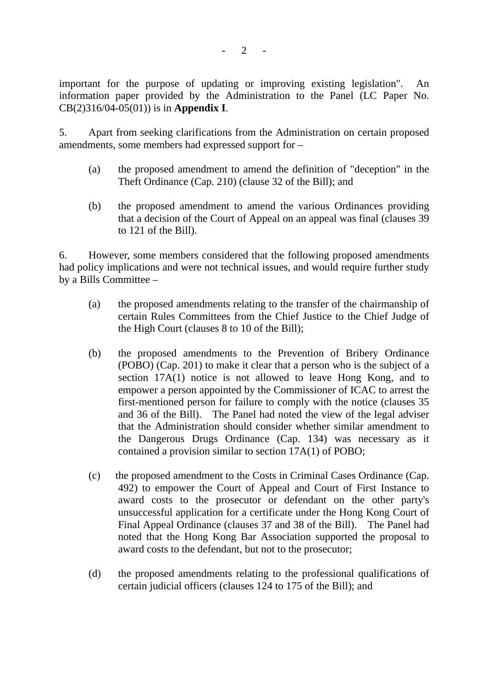important for the purpose of updating or improving existing legislation". An information paper provided by the Administration to the Panel (LC Paper No. CB(2)316/04-05(01)) is in **Appendix I**.

5. Apart from seeking clarifications from the Administration on certain proposed amendments, some members had expressed support for –

- (a) the proposed amendment to amend the definition of "deception" in the Theft Ordinance (Cap. 210) (clause 32 of the Bill); and
- (b) the proposed amendment to amend the various Ordinances providing that a decision of the Court of Appeal on an appeal was final (clauses 39 to 121 of the Bill).

6. However, some members considered that the following proposed amendments had policy implications and were not technical issues, and would require further study by a Bills Committee –

- (a) the proposed amendments relating to the transfer of the chairmanship of certain Rules Committees from the Chief Justice to the Chief Judge of the High Court (clauses 8 to 10 of the Bill);
- (b) the proposed amendments to the Prevention of Bribery Ordinance (POBO) (Cap. 201) to make it clear that a person who is the subject of a section 17A(1) notice is not allowed to leave Hong Kong, and to empower a person appointed by the Commissioner of ICAC to arrest the first-mentioned person for failure to comply with the notice (clauses 35 and 36 of the Bill). The Panel had noted the view of the legal adviser that the Administration should consider whether similar amendment to the Dangerous Drugs Ordinance (Cap. 134) was necessary as it contained a provision similar to section 17A(1) of POBO;
- (c) the proposed amendment to the Costs in Criminal Cases Ordinance (Cap. 492) to empower the Court of Appeal and Court of First Instance to award costs to the prosecutor or defendant on the other party's unsuccessful application for a certificate under the Hong Kong Court of Final Appeal Ordinance (clauses 37 and 38 of the Bill). The Panel had noted that the Hong Kong Bar Association supported the proposal to award costs to the defendant, but not to the prosecutor;
- (d) the proposed amendments relating to the professional qualifications of certain judicial officers (clauses 124 to 175 of the Bill); and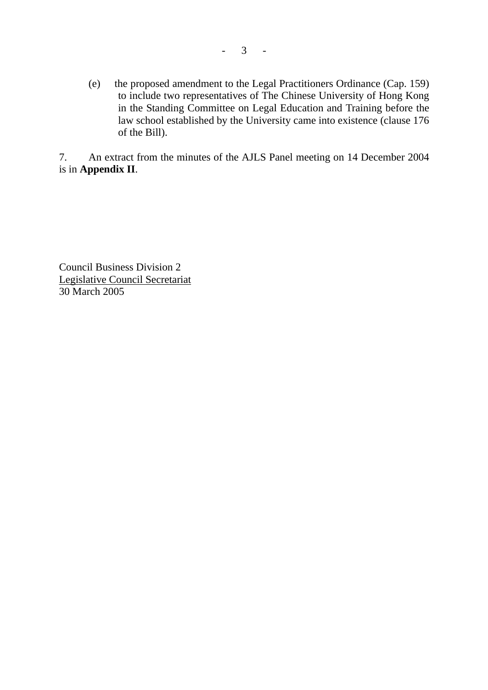(e) the proposed amendment to the Legal Practitioners Ordinance (Cap. 159) to include two representatives of The Chinese University of Hong Kong in the Standing Committee on Legal Education and Training before the law school established by the University came into existence (clause 176 of the Bill).

7. An extract from the minutes of the AJLS Panel meeting on 14 December 2004 is in **Appendix II**.

Council Business Division 2 Legislative Council Secretariat 30 March 2005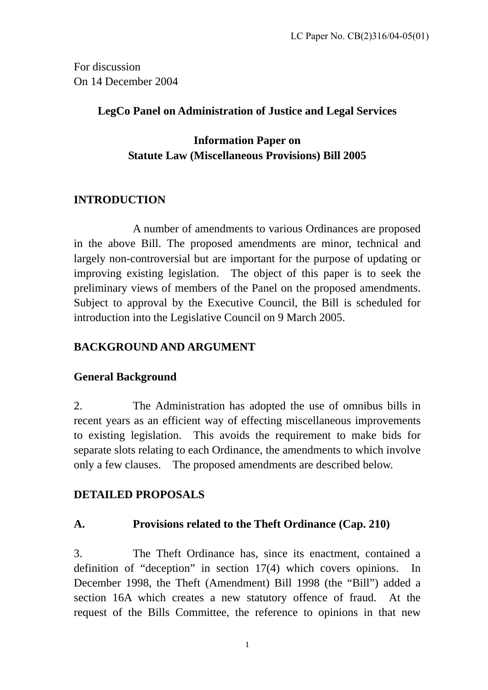For discussion On 14 December 2004

## **LegCo Panel on Administration of Justice and Legal Services**

## **Information Paper on Statute Law (Miscellaneous Provisions) Bill 2005**

# **INTRODUCTION**

 A number of amendments to various Ordinances are proposed in the above Bill. The proposed amendments are minor, technical and largely non-controversial but are important for the purpose of updating or improving existing legislation. The object of this paper is to seek the preliminary views of members of the Panel on the proposed amendments. Subject to approval by the Executive Council, the Bill is scheduled for introduction into the Legislative Council on 9 March 2005.

## **BACKGROUND AND ARGUMENT**

## **General Background**

2. The Administration has adopted the use of omnibus bills in recent years as an efficient way of effecting miscellaneous improvements to existing legislation. This avoids the requirement to make bids for separate slots relating to each Ordinance, the amendments to which involve only a few clauses. The proposed amendments are described below.

## **DETAILED PROPOSALS**

## **A. Provisions related to the Theft Ordinance (Cap. 210)**

3. The Theft Ordinance has, since its enactment, contained a definition of "deception" in section 17(4) which covers opinions. In December 1998, the Theft (Amendment) Bill 1998 (the "Bill") added a section 16A which creates a new statutory offence of fraud. At the request of the Bills Committee, the reference to opinions in that new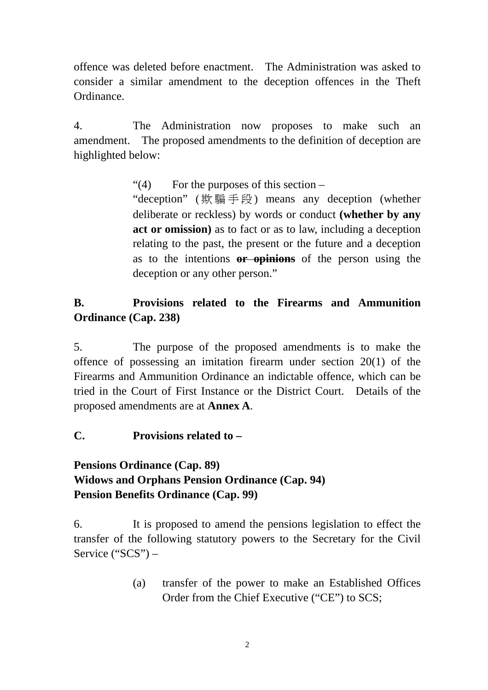offence was deleted before enactment. The Administration was asked to consider a similar amendment to the deception offences in the Theft Ordinance.

4. The Administration now proposes to make such an amendment. The proposed amendments to the definition of deception are highlighted below:

"(4) For the purposes of this section –

"deception" ( 欺騙手段 ) means any deception (whether deliberate or reckless) by words or conduct **(whether by any act or omission)** as to fact or as to law, including a deception relating to the past, the present or the future and a deception as to the intentions **or opinions** of the person using the deception or any other person."

# **B. Provisions related to the Firearms and Ammunition Ordinance (Cap. 238)**

5. The purpose of the proposed amendments is to make the offence of possessing an imitation firearm under section 20(1) of the Firearms and Ammunition Ordinance an indictable offence, which can be tried in the Court of First Instance or the District Court. Details of the proposed amendments are at **Annex A**.

## **C. Provisions related to –**

# **Pensions Ordinance (Cap. 89) Widows and Orphans Pension Ordinance (Cap. 94) Pension Benefits Ordinance (Cap. 99)**

6. It is proposed to amend the pensions legislation to effect the transfer of the following statutory powers to the Secretary for the Civil Service ("SCS") –

> (a) transfer of the power to make an Established Offices Order from the Chief Executive ("CE") to SCS;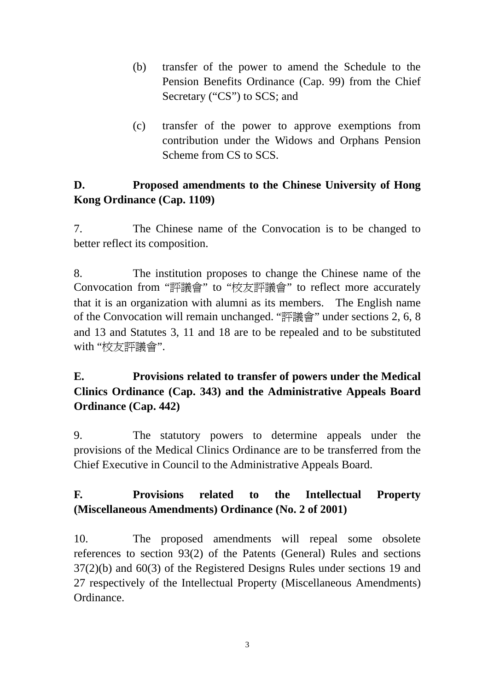- (b) transfer of the power to amend the Schedule to the Pension Benefits Ordinance (Cap. 99) from the Chief Secretary ("CS") to SCS; and
- (c) transfer of the power to approve exemptions from contribution under the Widows and Orphans Pension Scheme from CS to SCS.

# **D. Proposed amendments to the Chinese University of Hong Kong Ordinance (Cap. 1109)**

7. The Chinese name of the Convocation is to be changed to better reflect its composition.

8. The institution proposes to change the Chinese name of the Convocation from "評議會" to "校友評議會" to reflect more accurately that it is an organization with alumni as its members. The English name of the Convocation will remain unchanged. "評議會" under sections 2, 6, 8 and 13 and Statutes 3, 11 and 18 are to be repealed and to be substituted with "校友評議會".

# **E. Provisions related to transfer of powers under the Medical Clinics Ordinance (Cap. 343) and the Administrative Appeals Board Ordinance (Cap. 442)**

9. The statutory powers to determine appeals under the provisions of the Medical Clinics Ordinance are to be transferred from the Chief Executive in Council to the Administrative Appeals Board.

# **F. Provisions related to the Intellectual Property (Miscellaneous Amendments) Ordinance (No. 2 of 2001)**

10. The proposed amendments will repeal some obsolete references to section 93(2) of the Patents (General) Rules and sections 37(2)(b) and 60(3) of the Registered Designs Rules under sections 19 and 27 respectively of the Intellectual Property (Miscellaneous Amendments) Ordinance.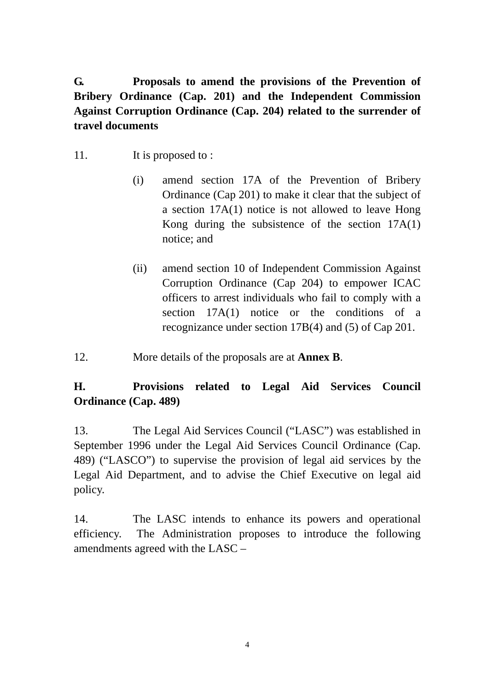**G. Proposals to amend the provisions of the Prevention of Bribery Ordinance (Cap. 201) and the Independent Commission Against Corruption Ordinance (Cap. 204) related to the surrender of travel documents** 

- 11. It is proposed to :
	- (i) amend section 17A of the Prevention of Bribery Ordinance (Cap 201) to make it clear that the subject of a section 17A(1) notice is not allowed to leave Hong Kong during the subsistence of the section 17A(1) notice; and
	- (ii) amend section 10 of Independent Commission Against Corruption Ordinance (Cap 204) to empower ICAC officers to arrest individuals who fail to comply with a section 17A(1) notice or the conditions of a recognizance under section 17B(4) and (5) of Cap 201.
- 12. More details of the proposals are at **Annex B**.

# **H. Provisions related to Legal Aid Services Council Ordinance (Cap. 489)**

13. The Legal Aid Services Council ("LASC") was established in September 1996 under the Legal Aid Services Council Ordinance (Cap. 489) ("LASCO") to supervise the provision of legal aid services by the Legal Aid Department, and to advise the Chief Executive on legal aid policy.

14. The LASC intends to enhance its powers and operational efficiency. The Administration proposes to introduce the following amendments agreed with the LASC –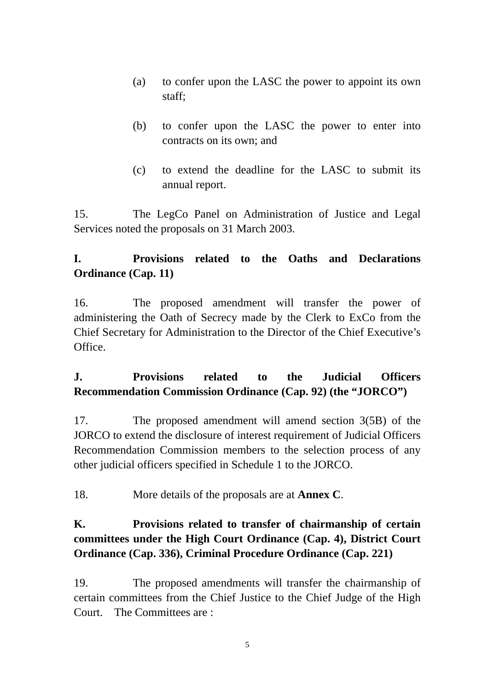- (a) to confer upon the LASC the power to appoint its own staff;
- (b) to confer upon the LASC the power to enter into contracts on its own; and
- (c) to extend the deadline for the LASC to submit its annual report.

15. The LegCo Panel on Administration of Justice and Legal Services noted the proposals on 31 March 2003.

# **I. Provisions related to the Oaths and Declarations Ordinance (Cap. 11)**

16. The proposed amendment will transfer the power of administering the Oath of Secrecy made by the Clerk to ExCo from the Chief Secretary for Administration to the Director of the Chief Executive's Office.

# **J. Provisions related to the Judicial Officers Recommendation Commission Ordinance (Cap. 92) (the "JORCO")**

17. The proposed amendment will amend section 3(5B) of the JORCO to extend the disclosure of interest requirement of Judicial Officers Recommendation Commission members to the selection process of any other judicial officers specified in Schedule 1 to the JORCO.

18. More details of the proposals are at **Annex C**.

# **K. Provisions related to transfer of chairmanship of certain committees under the High Court Ordinance (Cap. 4), District Court Ordinance (Cap. 336), Criminal Procedure Ordinance (Cap. 221)**

19. The proposed amendments will transfer the chairmanship of certain committees from the Chief Justice to the Chief Judge of the High Court. The Committees are :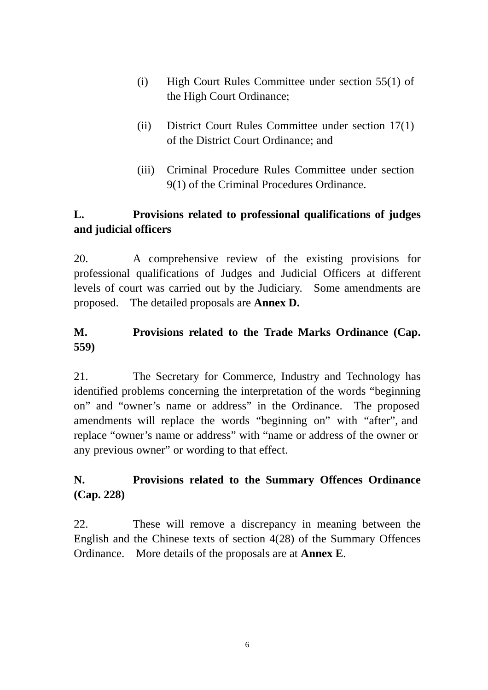- (i) High Court Rules Committee under section 55(1) of the High Court Ordinance;
- (ii) District Court Rules Committee under section 17(1) of the District Court Ordinance; and
- (iii) Criminal Procedure Rules Committee under section 9(1) of the Criminal Procedures Ordinance.

# **L. Provisions related to professional qualifications of judges and judicial officers**

20. A comprehensive review of the existing provisions for professional qualifications of Judges and Judicial Officers at different levels of court was carried out by the Judiciary. Some amendments are proposed. The detailed proposals are **Annex D.**

# **M. Provisions related to the Trade Marks Ordinance (Cap. 559)**

21. The Secretary for Commerce, Industry and Technology has identified problems concerning the interpretation of the words "beginning on" and "owner's name or address" in the Ordinance. The proposed amendments will replace the words "beginning on" with "after", and replace "owner's name or address" with "name or address of the owner or any previous owner" or wording to that effect.

# **N. Provisions related to the Summary Offences Ordinance (Cap. 228)**

22. These will remove a discrepancy in meaning between the English and the Chinese texts of section 4(28) of the Summary Offences Ordinance. More details of the proposals are at **Annex E**.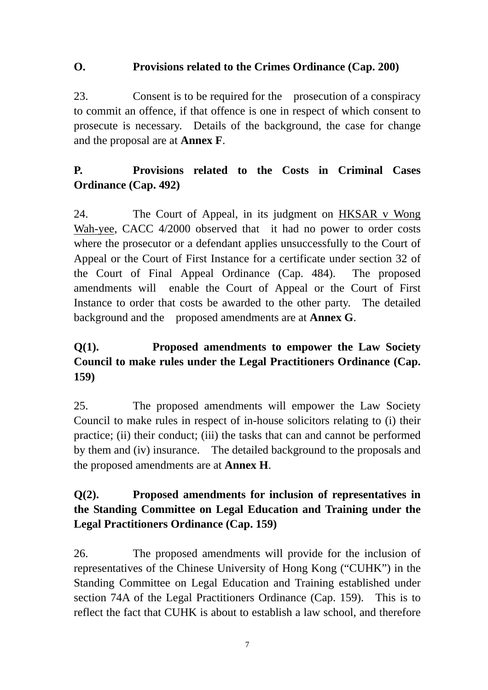## **O. Provisions related to the Crimes Ordinance (Cap. 200)**

23. Consent is to be required for the prosecution of a conspiracy to commit an offence, if that offence is one in respect of which consent to prosecute is necessary. Details of the background, the case for change and the proposal are at **Annex F**.

# **P. Provisions related to the Costs in Criminal Cases Ordinance (Cap. 492)**

24. The Court of Appeal, in its judgment on HKSAR v Wong Wah-yee, CACC 4/2000 observed that it had no power to order costs where the prosecutor or a defendant applies unsuccessfully to the Court of Appeal or the Court of First Instance for a certificate under section 32 of the Court of Final Appeal Ordinance (Cap. 484). The proposed amendments will enable the Court of Appeal or the Court of First Instance to order that costs be awarded to the other party. The detailed background and the proposed amendments are at **Annex G**.

# **Q(1). Proposed amendments to empower the Law Society Council to make rules under the Legal Practitioners Ordinance (Cap. 159)**

25. The proposed amendments will empower the Law Society Council to make rules in respect of in-house solicitors relating to (i) their practice; (ii) their conduct; (iii) the tasks that can and cannot be performed by them and (iv) insurance. The detailed background to the proposals and the proposed amendments are at **Annex H**.

# **Q(2). Proposed amendments for inclusion of representatives in the Standing Committee on Legal Education and Training under the Legal Practitioners Ordinance (Cap. 159)**

26. The proposed amendments will provide for the inclusion of representatives of the Chinese University of Hong Kong ("CUHK") in the Standing Committee on Legal Education and Training established under section 74A of the Legal Practitioners Ordinance (Cap. 159). This is to reflect the fact that CUHK is about to establish a law school, and therefore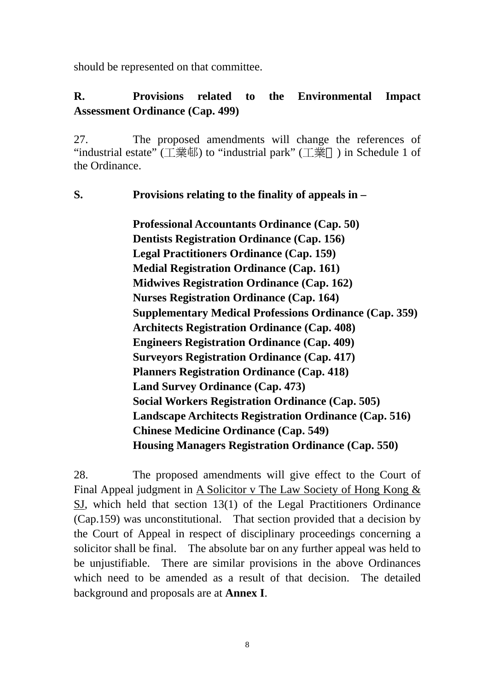should be represented on that committee.

## **R. Provisions related to the Environmental Impact Assessment Ordinance (Cap. 499)**

27. The proposed amendments will change the references of "industrial estate"  $(\top \# \#)$  to "industrial park"  $(\top \#)$  in Schedule 1 of the Ordinance.

## **S. Provisions relating to the finality of appeals in –**

 **Professional Accountants Ordinance (Cap. 50) Dentists Registration Ordinance (Cap. 156) Legal Practitioners Ordinance (Cap. 159) Medial Registration Ordinance (Cap. 161) Midwives Registration Ordinance (Cap. 162) Nurses Registration Ordinance (Cap. 164) Supplementary Medical Professions Ordinance (Cap. 359) Architects Registration Ordinance (Cap. 408) Engineers Registration Ordinance (Cap. 409) Surveyors Registration Ordinance (Cap. 417) Planners Registration Ordinance (Cap. 418) Land Survey Ordinance (Cap. 473) Social Workers Registration Ordinance (Cap. 505) Landscape Architects Registration Ordinance (Cap. 516) Chinese Medicine Ordinance (Cap. 549) Housing Managers Registration Ordinance (Cap. 550)** 

28. The proposed amendments will give effect to the Court of Final Appeal judgment in A Solicitor v The Law Society of Hong Kong & SJ, which held that section 13(1) of the Legal Practitioners Ordinance (Cap.159) was unconstitutional. That section provided that a decision by the Court of Appeal in respect of disciplinary proceedings concerning a solicitor shall be final. The absolute bar on any further appeal was held to be unjustifiable. There are similar provisions in the above Ordinances which need to be amended as a result of that decision. The detailed background and proposals are at **Annex I**.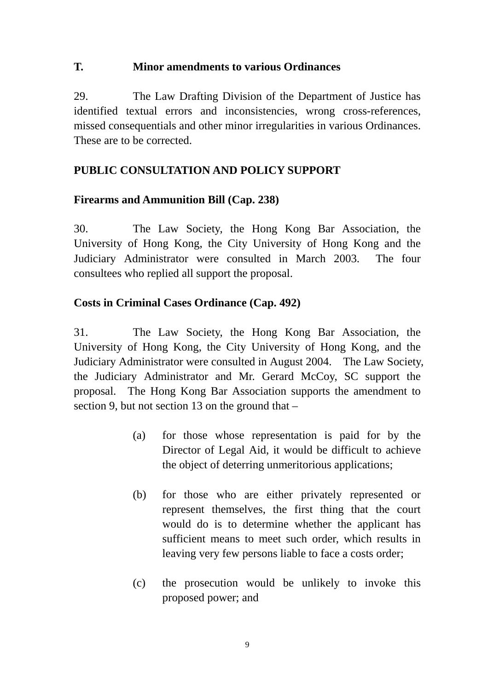## **T. Minor amendments to various Ordinances**

29. The Law Drafting Division of the Department of Justice has identified textual errors and inconsistencies, wrong cross-references, missed consequentials and other minor irregularities in various Ordinances. These are to be corrected.

## **PUBLIC CONSULTATION AND POLICY SUPPORT**

## **Firearms and Ammunition Bill (Cap. 238)**

30. The Law Society, the Hong Kong Bar Association, the University of Hong Kong, the City University of Hong Kong and the Judiciary Administrator were consulted in March 2003. The four consultees who replied all support the proposal.

## **Costs in Criminal Cases Ordinance (Cap. 492)**

31. The Law Society, the Hong Kong Bar Association, the University of Hong Kong, the City University of Hong Kong, and the Judiciary Administrator were consulted in August 2004. The Law Society, the Judiciary Administrator and Mr. Gerard McCoy, SC support the proposal. The Hong Kong Bar Association supports the amendment to section 9, but not section 13 on the ground that –

- (a) for those whose representation is paid for by the Director of Legal Aid, it would be difficult to achieve the object of deterring unmeritorious applications;
- (b) for those who are either privately represented or represent themselves, the first thing that the court would do is to determine whether the applicant has sufficient means to meet such order, which results in leaving very few persons liable to face a costs order;
- (c) the prosecution would be unlikely to invoke this proposed power; and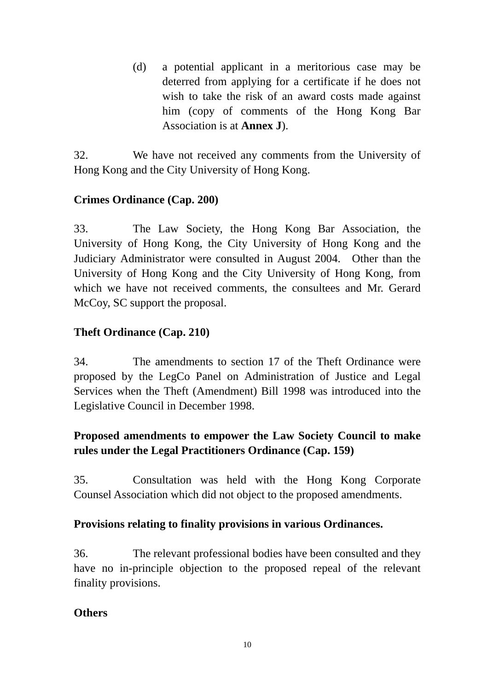(d) a potential applicant in a meritorious case may be deterred from applying for a certificate if he does not wish to take the risk of an award costs made against him (copy of comments of the Hong Kong Bar Association is at **Annex J**).

32. We have not received any comments from the University of Hong Kong and the City University of Hong Kong.

## **Crimes Ordinance (Cap. 200)**

33. The Law Society, the Hong Kong Bar Association, the University of Hong Kong, the City University of Hong Kong and the Judiciary Administrator were consulted in August 2004. Other than the University of Hong Kong and the City University of Hong Kong, from which we have not received comments, the consultees and Mr. Gerard McCoy, SC support the proposal.

## **Theft Ordinance (Cap. 210)**

34. The amendments to section 17 of the Theft Ordinance were proposed by the LegCo Panel on Administration of Justice and Legal Services when the Theft (Amendment) Bill 1998 was introduced into the Legislative Council in December 1998.

# **Proposed amendments to empower the Law Society Council to make rules under the Legal Practitioners Ordinance (Cap. 159)**

35. Consultation was held with the Hong Kong Corporate Counsel Association which did not object to the proposed amendments.

## **Provisions relating to finality provisions in various Ordinances.**

36. The relevant professional bodies have been consulted and they have no in-principle objection to the proposed repeal of the relevant finality provisions.

## **Others**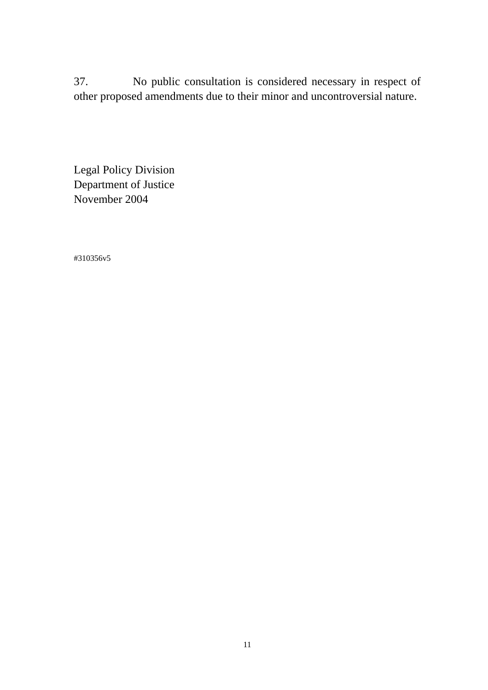37. No public consultation is considered necessary in respect of other proposed amendments due to their minor and uncontroversial nature.

Legal Policy Division Department of Justice November 2004

#310356v5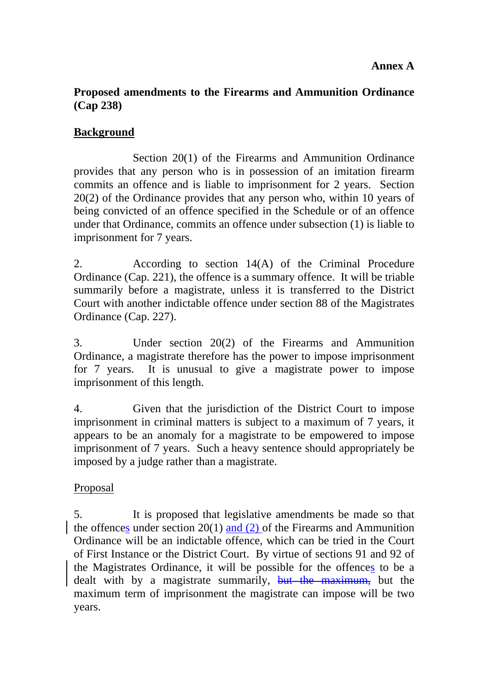## **Proposed amendments to the Firearms and Ammunition Ordinance (Cap 238)**

## **Background**

 Section 20(1) of the Firearms and Ammunition Ordinance provides that any person who is in possession of an imitation firearm commits an offence and is liable to imprisonment for 2 years. Section 20(2) of the Ordinance provides that any person who, within 10 years of being convicted of an offence specified in the Schedule or of an offence under that Ordinance, commits an offence under subsection (1) is liable to imprisonment for 7 years.

2. According to section 14(A) of the Criminal Procedure Ordinance (Cap. 221), the offence is a summary offence. It will be triable summarily before a magistrate, unless it is transferred to the District Court with another indictable offence under section 88 of the Magistrates Ordinance (Cap. 227).

3. Under section 20(2) of the Firearms and Ammunition Ordinance, a magistrate therefore has the power to impose imprisonment for 7 years. It is unusual to give a magistrate power to impose imprisonment of this length.

4. Given that the jurisdiction of the District Court to impose imprisonment in criminal matters is subject to a maximum of 7 years, it appears to be an anomaly for a magistrate to be empowered to impose imprisonment of 7 years. Such a heavy sentence should appropriately be imposed by a judge rather than a magistrate.

## Proposal

5. It is proposed that legislative amendments be made so that the offences under section 20(1) and (2) of the Firearms and Ammunition Ordinance will be an indictable offence, which can be tried in the Court of First Instance or the District Court. By virtue of sections 91 and 92 of the Magistrates Ordinance, it will be possible for the offences to be a dealt with by a magistrate summarily, but the maximum, but the maximum term of imprisonment the magistrate can impose will be two years.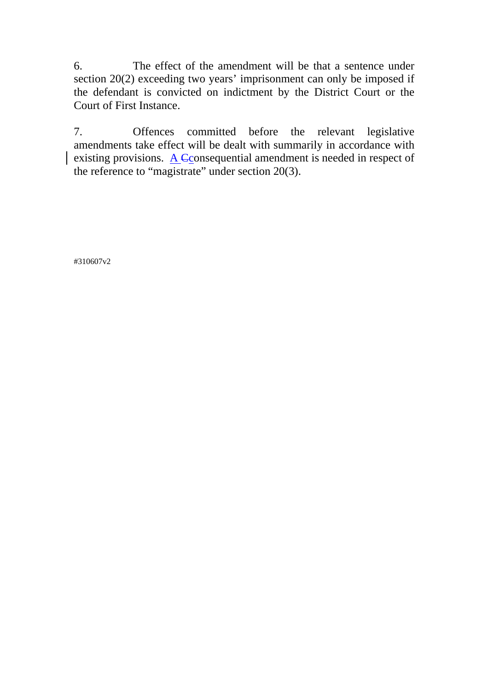6. The effect of the amendment will be that a sentence under section 20(2) exceeding two years' imprisonment can only be imposed if the defendant is convicted on indictment by the District Court or the Court of First Instance.

7. Offences committed before the relevant legislative amendments take effect will be dealt with summarily in accordance with existing provisions.  $\overline{A}$  Cconsequential amendment is needed in respect of the reference to "magistrate" under section 20(3).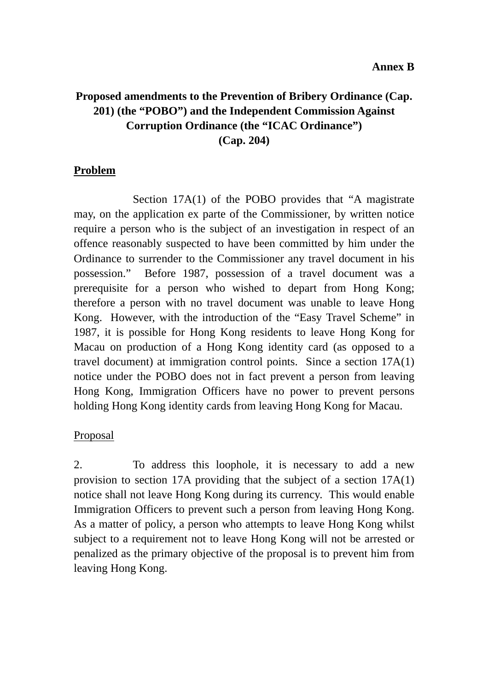# **Proposed amendments to the Prevention of Bribery Ordinance (Cap. 201) (the "POBO") and the Independent Commission Against Corruption Ordinance (the "ICAC Ordinance") (Cap. 204)**

#### **Problem**

 Section 17A(1) of the POBO provides that "A magistrate may, on the application ex parte of the Commissioner, by written notice require a person who is the subject of an investigation in respect of an offence reasonably suspected to have been committed by him under the Ordinance to surrender to the Commissioner any travel document in his possession." Before 1987, possession of a travel document was a prerequisite for a person who wished to depart from Hong Kong; therefore a person with no travel document was unable to leave Hong Kong. However, with the introduction of the "Easy Travel Scheme" in 1987, it is possible for Hong Kong residents to leave Hong Kong for Macau on production of a Hong Kong identity card (as opposed to a travel document) at immigration control points. Since a section 17A(1) notice under the POBO does not in fact prevent a person from leaving Hong Kong, Immigration Officers have no power to prevent persons holding Hong Kong identity cards from leaving Hong Kong for Macau.

## Proposal

2. To address this loophole, it is necessary to add a new provision to section 17A providing that the subject of a section 17A(1) notice shall not leave Hong Kong during its currency. This would enable Immigration Officers to prevent such a person from leaving Hong Kong. As a matter of policy, a person who attempts to leave Hong Kong whilst subject to a requirement not to leave Hong Kong will not be arrested or penalized as the primary objective of the proposal is to prevent him from leaving Hong Kong.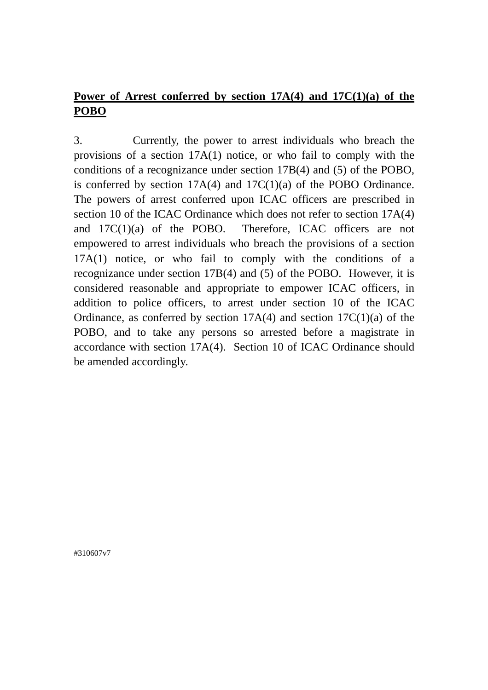# **Power of Arrest conferred by section 17A(4) and 17C(1)(a) of the POBO**

3. Currently, the power to arrest individuals who breach the provisions of a section 17A(1) notice, or who fail to comply with the conditions of a recognizance under section 17B(4) and (5) of the POBO, is conferred by section 17A(4) and 17C(1)(a) of the POBO Ordinance. The powers of arrest conferred upon ICAC officers are prescribed in section 10 of the ICAC Ordinance which does not refer to section 17A(4) and 17C(1)(a) of the POBO. Therefore, ICAC officers are not empowered to arrest individuals who breach the provisions of a section 17A(1) notice, or who fail to comply with the conditions of a recognizance under section 17B(4) and (5) of the POBO. However, it is considered reasonable and appropriate to empower ICAC officers, in addition to police officers, to arrest under section 10 of the ICAC Ordinance, as conferred by section  $17A(4)$  and section  $17C(1)(a)$  of the POBO, and to take any persons so arrested before a magistrate in accordance with section 17A(4). Section 10 of ICAC Ordinance should be amended accordingly.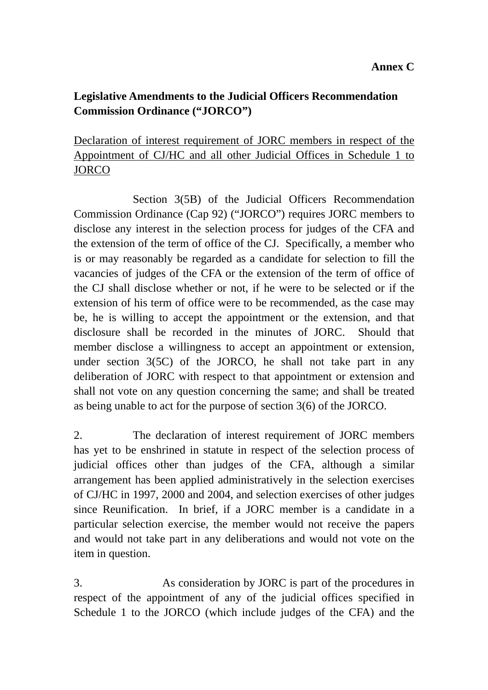# **Legislative Amendments to the Judicial Officers Recommendation Commission Ordinance ("JORCO")**

# Declaration of interest requirement of JORC members in respect of the Appointment of CJ/HC and all other Judicial Offices in Schedule 1 to **JORCO**

 Section 3(5B) of the Judicial Officers Recommendation Commission Ordinance (Cap 92) ("JORCO") requires JORC members to disclose any interest in the selection process for judges of the CFA and the extension of the term of office of the CJ. Specifically, a member who is or may reasonably be regarded as a candidate for selection to fill the vacancies of judges of the CFA or the extension of the term of office of the CJ shall disclose whether or not, if he were to be selected or if the extension of his term of office were to be recommended, as the case may be, he is willing to accept the appointment or the extension, and that disclosure shall be recorded in the minutes of JORC. Should that member disclose a willingness to accept an appointment or extension, under section 3(5C) of the JORCO, he shall not take part in any deliberation of JORC with respect to that appointment or extension and shall not vote on any question concerning the same; and shall be treated as being unable to act for the purpose of section 3(6) of the JORCO.

2. The declaration of interest requirement of JORC members has yet to be enshrined in statute in respect of the selection process of judicial offices other than judges of the CFA, although a similar arrangement has been applied administratively in the selection exercises of CJ/HC in 1997, 2000 and 2004, and selection exercises of other judges since Reunification. In brief, if a JORC member is a candidate in a particular selection exercise, the member would not receive the papers and would not take part in any deliberations and would not vote on the item in question.

3. As consideration by JORC is part of the procedures in respect of the appointment of any of the judicial offices specified in Schedule 1 to the JORCO (which include judges of the CFA) and the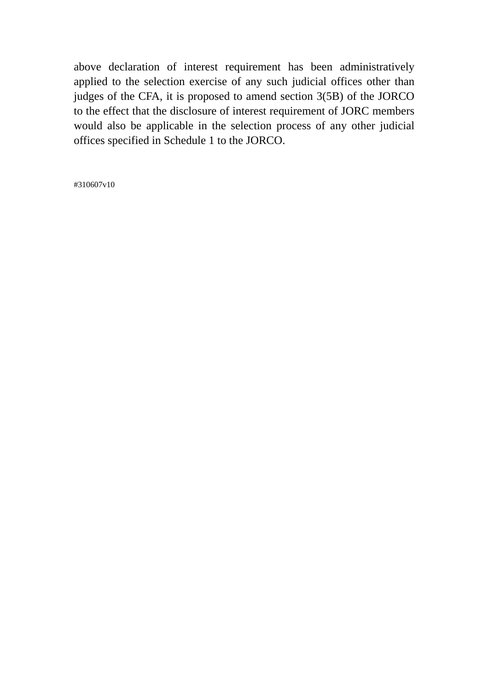above declaration of interest requirement has been administratively applied to the selection exercise of any such judicial offices other than judges of the CFA, it is proposed to amend section 3(5B) of the JORCO to the effect that the disclosure of interest requirement of JORC members would also be applicable in the selection process of any other judicial offices specified in Schedule 1 to the JORCO.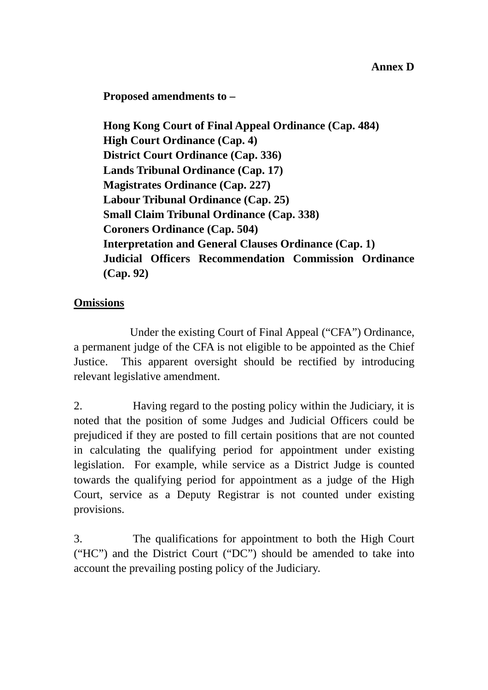**Proposed amendments to –** 

**Hong Kong Court of Final Appeal Ordinance (Cap. 484) High Court Ordinance (Cap. 4) District Court Ordinance (Cap. 336) Lands Tribunal Ordinance (Cap. 17) Magistrates Ordinance (Cap. 227) Labour Tribunal Ordinance (Cap. 25) Small Claim Tribunal Ordinance (Cap. 338) Coroners Ordinance (Cap. 504) Interpretation and General Clauses Ordinance (Cap. 1) Judicial Officers Recommendation Commission Ordinance (Cap. 92)** 

## **Omissions**

 Under the existing Court of Final Appeal ("CFA") Ordinance, a permanent judge of the CFA is not eligible to be appointed as the Chief Justice. This apparent oversight should be rectified by introducing relevant legislative amendment.

2. Having regard to the posting policy within the Judiciary, it is noted that the position of some Judges and Judicial Officers could be prejudiced if they are posted to fill certain positions that are not counted in calculating the qualifying period for appointment under existing legislation. For example, while service as a District Judge is counted towards the qualifying period for appointment as a judge of the High Court, service as a Deputy Registrar is not counted under existing provisions.

3. The qualifications for appointment to both the High Court ("HC") and the District Court ("DC") should be amended to take into account the prevailing posting policy of the Judiciary.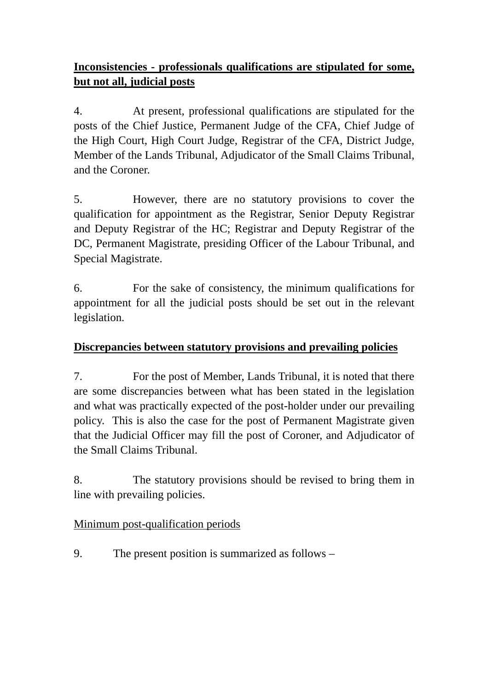# **Inconsistencies - professionals qualifications are stipulated for some, but not all, judicial posts**

4. At present, professional qualifications are stipulated for the posts of the Chief Justice, Permanent Judge of the CFA, Chief Judge of the High Court, High Court Judge, Registrar of the CFA, District Judge, Member of the Lands Tribunal, Adjudicator of the Small Claims Tribunal, and the Coroner.

5. However, there are no statutory provisions to cover the qualification for appointment as the Registrar, Senior Deputy Registrar and Deputy Registrar of the HC; Registrar and Deputy Registrar of the DC, Permanent Magistrate, presiding Officer of the Labour Tribunal, and Special Magistrate.

6. For the sake of consistency, the minimum qualifications for appointment for all the judicial posts should be set out in the relevant legislation.

## **Discrepancies between statutory provisions and prevailing policies**

7. For the post of Member, Lands Tribunal, it is noted that there are some discrepancies between what has been stated in the legislation and what was practically expected of the post-holder under our prevailing policy. This is also the case for the post of Permanent Magistrate given that the Judicial Officer may fill the post of Coroner, and Adjudicator of the Small Claims Tribunal.

8. The statutory provisions should be revised to bring them in line with prevailing policies.

## Minimum post-qualification periods

9. The present position is summarized as follows –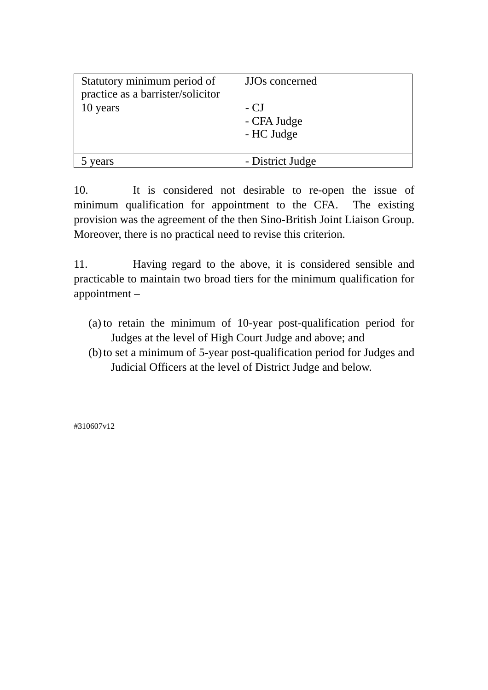| Statutory minimum period of       | JJOs concerned                    |
|-----------------------------------|-----------------------------------|
| practice as a barrister/solicitor |                                   |
| 10 years                          | - CJ<br>- CFA Judge<br>- HC Judge |
| vears                             | - District Judge                  |

10. It is considered not desirable to re-open the issue of minimum qualification for appointment to the CFA. The existing provision was the agreement of the then Sino-British Joint Liaison Group. Moreover, there is no practical need to revise this criterion.

11. Having regard to the above, it is considered sensible and practicable to maintain two broad tiers for the minimum qualification for appointment –

- (a) to retain the minimum of 10-year post-qualification period for Judges at the level of High Court Judge and above; and
- (b)to set a minimum of 5-year post-qualification period for Judges and Judicial Officers at the level of District Judge and below.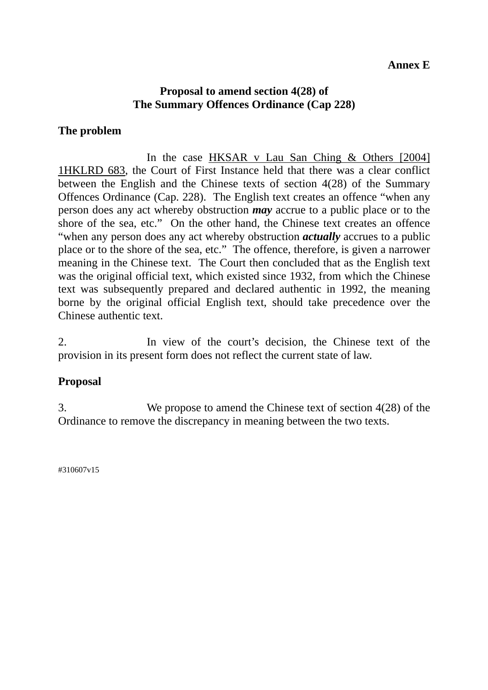#### **Annex E**

#### **Proposal to amend section 4(28) of The Summary Offences Ordinance (Cap 228)**

#### **The problem**

 In the case HKSAR v Lau San Ching & Others [2004] 1HKLRD 683, the Court of First Instance held that there was a clear conflict between the English and the Chinese texts of section 4(28) of the Summary Offences Ordinance (Cap. 228). The English text creates an offence "when any person does any act whereby obstruction *may* accrue to a public place or to the shore of the sea, etc." On the other hand, the Chinese text creates an offence "when any person does any act whereby obstruction *actually* accrues to a public place or to the shore of the sea, etc." The offence, therefore, is given a narrower meaning in the Chinese text. The Court then concluded that as the English text was the original official text, which existed since 1932, from which the Chinese text was subsequently prepared and declared authentic in 1992, the meaning borne by the original official English text, should take precedence over the Chinese authentic text.

2. In view of the court's decision, the Chinese text of the provision in its present form does not reflect the current state of law.

## **Proposal**

3. We propose to amend the Chinese text of section 4(28) of the Ordinance to remove the discrepancy in meaning between the two texts.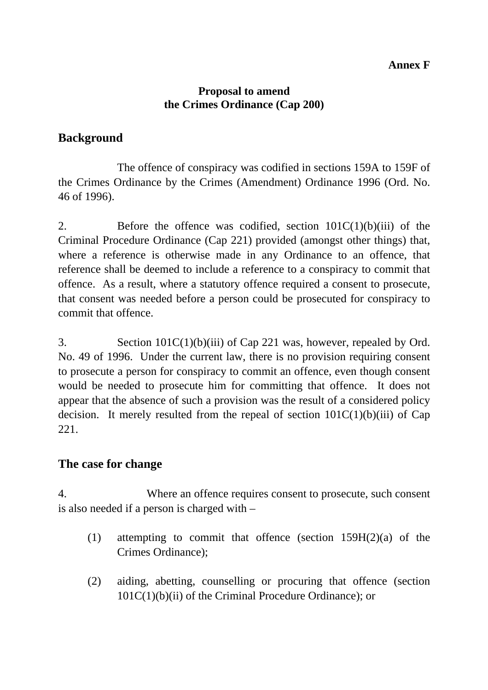## **Annex F**

#### **Proposal to amend the Crimes Ordinance (Cap 200)**

## **Background**

The offence of conspiracy was codified in sections 159A to 159F of the Crimes Ordinance by the Crimes (Amendment) Ordinance 1996 (Ord. No. 46 of 1996).

2. Before the offence was codified, section  $101C(1)(b)(iii)$  of the Criminal Procedure Ordinance (Cap 221) provided (amongst other things) that, where a reference is otherwise made in any Ordinance to an offence, that reference shall be deemed to include a reference to a conspiracy to commit that offence. As a result, where a statutory offence required a consent to prosecute, that consent was needed before a person could be prosecuted for conspiracy to commit that offence.

3. Section 101C(1)(b)(iii) of Cap 221 was, however, repealed by Ord. No. 49 of 1996. Under the current law, there is no provision requiring consent to prosecute a person for conspiracy to commit an offence, even though consent would be needed to prosecute him for committing that offence. It does not appear that the absence of such a provision was the result of a considered policy decision. It merely resulted from the repeal of section  $101C(1)(b)(iii)$  of Cap 221.

## **The case for change**

4. Where an offence requires consent to prosecute, such consent is also needed if a person is charged with –

- (1) attempting to commit that offence (section 159H(2)(a) of the Crimes Ordinance);
- (2) aiding, abetting, counselling or procuring that offence (section 101C(1)(b)(ii) of the Criminal Procedure Ordinance); or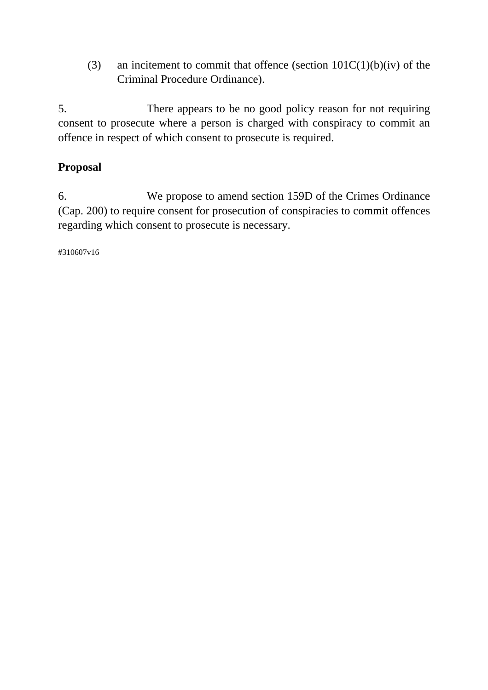(3) an incitement to commit that offence (section  $101C(1)(b)(iv)$  of the Criminal Procedure Ordinance).

5. There appears to be no good policy reason for not requiring consent to prosecute where a person is charged with conspiracy to commit an offence in respect of which consent to prosecute is required.

# **Proposal**

6. We propose to amend section 159D of the Crimes Ordinance (Cap. 200) to require consent for prosecution of conspiracies to commit offences regarding which consent to prosecute is necessary.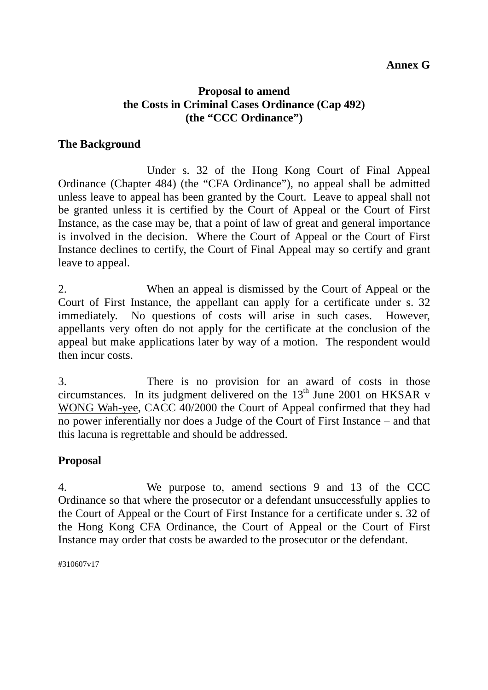## **Annex G**

## **Proposal to amend the Costs in Criminal Cases Ordinance (Cap 492) (the "CCC Ordinance")**

#### **The Background**

 Under s. 32 of the Hong Kong Court of Final Appeal Ordinance (Chapter 484) (the "CFA Ordinance"), no appeal shall be admitted unless leave to appeal has been granted by the Court. Leave to appeal shall not be granted unless it is certified by the Court of Appeal or the Court of First Instance, as the case may be, that a point of law of great and general importance is involved in the decision. Where the Court of Appeal or the Court of First Instance declines to certify, the Court of Final Appeal may so certify and grant leave to appeal.

2. When an appeal is dismissed by the Court of Appeal or the Court of First Instance, the appellant can apply for a certificate under s. 32 immediately. No questions of costs will arise in such cases. However, appellants very often do not apply for the certificate at the conclusion of the appeal but make applications later by way of a motion. The respondent would then incur costs.

3. There is no provision for an award of costs in those circumstances. In its judgment delivered on the  $13<sup>th</sup>$  June 2001 on HKSAR v WONG Wah-yee, CACC 40/2000 the Court of Appeal confirmed that they had no power inferentially nor does a Judge of the Court of First Instance – and that this lacuna is regrettable and should be addressed.

## **Proposal**

4. We purpose to, amend sections 9 and 13 of the CCC Ordinance so that where the prosecutor or a defendant unsuccessfully applies to the Court of Appeal or the Court of First Instance for a certificate under s. 32 of the Hong Kong CFA Ordinance, the Court of Appeal or the Court of First Instance may order that costs be awarded to the prosecutor or the defendant.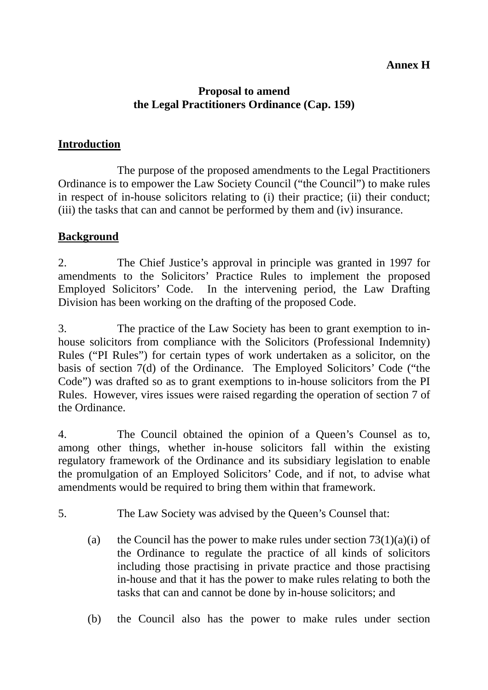## **Annex H**

## **Proposal to amend the Legal Practitioners Ordinance (Cap. 159)**

## **Introduction**

 The purpose of the proposed amendments to the Legal Practitioners Ordinance is to empower the Law Society Council ("the Council") to make rules in respect of in-house solicitors relating to (i) their practice; (ii) their conduct; (iii) the tasks that can and cannot be performed by them and (iv) insurance.

## **Background**

2. The Chief Justice's approval in principle was granted in 1997 for amendments to the Solicitors' Practice Rules to implement the proposed Employed Solicitors' Code. In the intervening period, the Law Drafting Division has been working on the drafting of the proposed Code.

3. The practice of the Law Society has been to grant exemption to inhouse solicitors from compliance with the Solicitors (Professional Indemnity) Rules ("PI Rules") for certain types of work undertaken as a solicitor, on the basis of section 7(d) of the Ordinance. The Employed Solicitors' Code ("the Code") was drafted so as to grant exemptions to in-house solicitors from the PI Rules. However, vires issues were raised regarding the operation of section 7 of the Ordinance.

4. The Council obtained the opinion of a Queen's Counsel as to, among other things, whether in-house solicitors fall within the existing regulatory framework of the Ordinance and its subsidiary legislation to enable the promulgation of an Employed Solicitors' Code, and if not, to advise what amendments would be required to bring them within that framework.

5. The Law Society was advised by the Queen's Counsel that:

- (a) the Council has the power to make rules under section  $73(1)(a)(i)$  of the Ordinance to regulate the practice of all kinds of solicitors including those practising in private practice and those practising in-house and that it has the power to make rules relating to both the tasks that can and cannot be done by in-house solicitors; and
- (b) the Council also has the power to make rules under section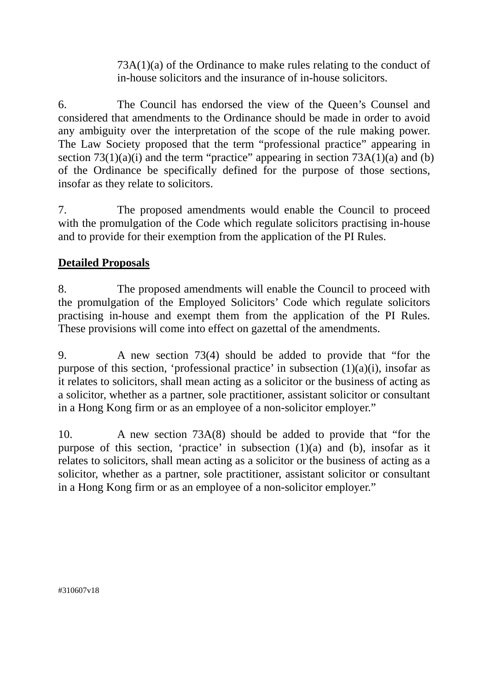73A(1)(a) of the Ordinance to make rules relating to the conduct of in-house solicitors and the insurance of in-house solicitors.

6. The Council has endorsed the view of the Queen's Counsel and considered that amendments to the Ordinance should be made in order to avoid any ambiguity over the interpretation of the scope of the rule making power. The Law Society proposed that the term "professional practice" appearing in section  $73(1)(a)(i)$  and the term "practice" appearing in section  $73A(1)(a)$  and (b) of the Ordinance be specifically defined for the purpose of those sections, insofar as they relate to solicitors.

7. The proposed amendments would enable the Council to proceed with the promulgation of the Code which regulate solicitors practising in-house and to provide for their exemption from the application of the PI Rules.

## **Detailed Proposals**

8. The proposed amendments will enable the Council to proceed with the promulgation of the Employed Solicitors' Code which regulate solicitors practising in-house and exempt them from the application of the PI Rules. These provisions will come into effect on gazettal of the amendments.

9. A new section 73(4) should be added to provide that "for the purpose of this section, 'professional practice' in subsection (1)(a)(i), insofar as it relates to solicitors, shall mean acting as a solicitor or the business of acting as a solicitor, whether as a partner, sole practitioner, assistant solicitor or consultant in a Hong Kong firm or as an employee of a non-solicitor employer."

10. A new section 73A(8) should be added to provide that "for the purpose of this section, 'practice' in subsection  $(1)(a)$  and  $(b)$ , insofar as it relates to solicitors, shall mean acting as a solicitor or the business of acting as a solicitor, whether as a partner, sole practitioner, assistant solicitor or consultant in a Hong Kong firm or as an employee of a non-solicitor employer."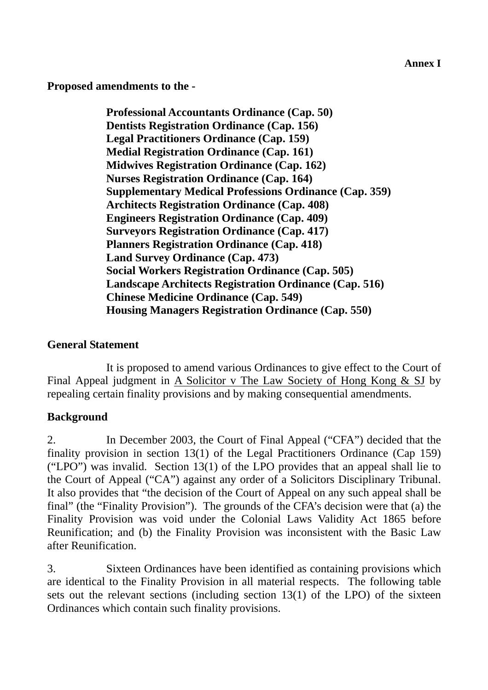**Annex I** 

**Proposed amendments to the -** 

**Professional Accountants Ordinance (Cap. 50) Dentists Registration Ordinance (Cap. 156) Legal Practitioners Ordinance (Cap. 159) Medial Registration Ordinance (Cap. 161) Midwives Registration Ordinance (Cap. 162) Nurses Registration Ordinance (Cap. 164) Supplementary Medical Professions Ordinance (Cap. 359) Architects Registration Ordinance (Cap. 408) Engineers Registration Ordinance (Cap. 409) Surveyors Registration Ordinance (Cap. 417) Planners Registration Ordinance (Cap. 418) Land Survey Ordinance (Cap. 473) Social Workers Registration Ordinance (Cap. 505) Landscape Architects Registration Ordinance (Cap. 516) Chinese Medicine Ordinance (Cap. 549) Housing Managers Registration Ordinance (Cap. 550)** 

## **General Statement**

 It is proposed to amend various Ordinances to give effect to the Court of Final Appeal judgment in A Solicitor v The Law Society of Hong Kong & SJ by repealing certain finality provisions and by making consequential amendments.

## **Background**

2. In December 2003, the Court of Final Appeal ("CFA") decided that the finality provision in section 13(1) of the Legal Practitioners Ordinance (Cap 159) ("LPO") was invalid. Section 13(1) of the LPO provides that an appeal shall lie to the Court of Appeal ("CA") against any order of a Solicitors Disciplinary Tribunal. It also provides that "the decision of the Court of Appeal on any such appeal shall be final" (the "Finality Provision"). The grounds of the CFA's decision were that (a) the Finality Provision was void under the Colonial Laws Validity Act 1865 before Reunification; and (b) the Finality Provision was inconsistent with the Basic Law after Reunification.

3. Sixteen Ordinances have been identified as containing provisions which are identical to the Finality Provision in all material respects. The following table sets out the relevant sections (including section 13(1) of the LPO) of the sixteen Ordinances which contain such finality provisions.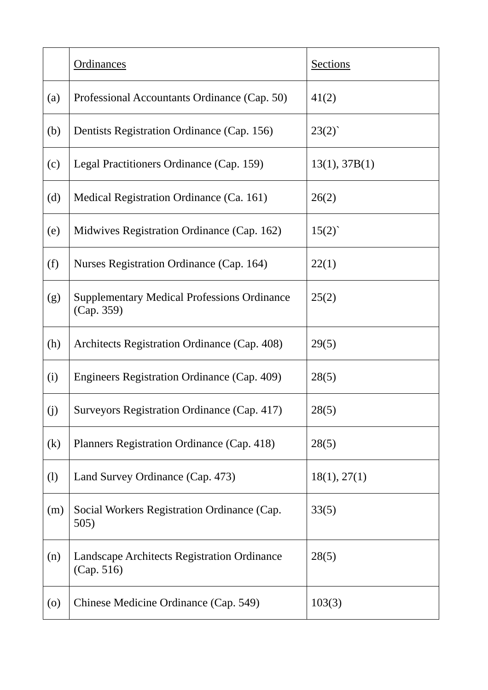|                              | <b>Ordinances</b>                                                | <b>Sections</b> |
|------------------------------|------------------------------------------------------------------|-----------------|
| (a)                          | Professional Accountants Ordinance (Cap. 50)                     | 41(2)           |
| (b)                          | Dentists Registration Ordinance (Cap. 156)                       | 23(2)           |
| (c)                          | Legal Practitioners Ordinance (Cap. 159)                         | 13(1), 37B(1)   |
| (d)                          | Medical Registration Ordinance (Ca. 161)                         | 26(2)           |
| (e)                          | Midwives Registration Ordinance (Cap. 162)                       | 15(2)           |
| (f)                          | Nurses Registration Ordinance (Cap. 164)                         | 22(1)           |
| (g)                          | <b>Supplementary Medical Professions Ordinance</b><br>(Cap. 359) | 25(2)           |
| (h)                          | Architects Registration Ordinance (Cap. 408)                     | 29(5)           |
| (i)                          | Engineers Registration Ordinance (Cap. 409)                      | 28(5)           |
| (j)                          | Surveyors Registration Ordinance (Cap. 417)                      | 28(5)           |
| (k)                          | Planners Registration Ordinance (Cap. 418)                       | 28(5)           |
| $\left( \frac{1}{2} \right)$ | Land Survey Ordinance (Cap. 473)                                 | 18(1), 27(1)    |
| (m)                          | Social Workers Registration Ordinance (Cap.<br>505)              | 33(5)           |
| (n)                          | Landscape Architects Registration Ordinance<br>(Cap. 516)        | 28(5)           |
| $\left( 0 \right)$           | Chinese Medicine Ordinance (Cap. 549)                            | 103(3)          |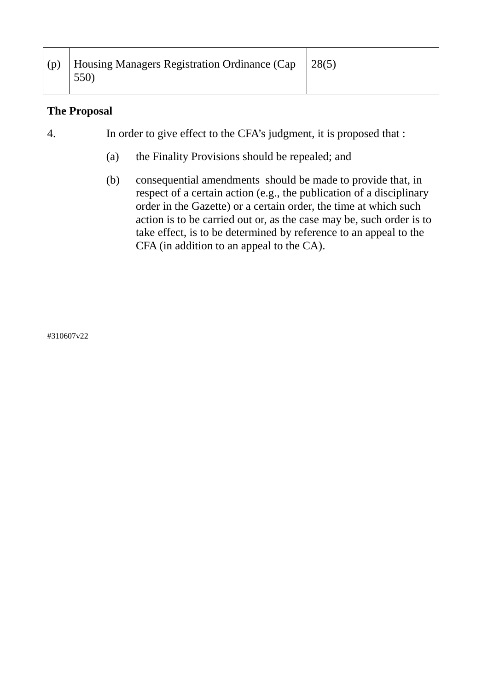| (p) | Housing Managers Registration Ordinance (Cap<br>550) | 28(5) |
|-----|------------------------------------------------------|-------|
|-----|------------------------------------------------------|-------|

## **The Proposal**

4. In order to give effect to the CFA's judgment, it is proposed that :

- (a) the Finality Provisions should be repealed; and
- (b) consequential amendments should be made to provide that, in respect of a certain action (e.g., the publication of a disciplinary order in the Gazette) or a certain order, the time at which such action is to be carried out or, as the case may be, such order is to take effect, is to be determined by reference to an appeal to the CFA (in addition to an appeal to the CA).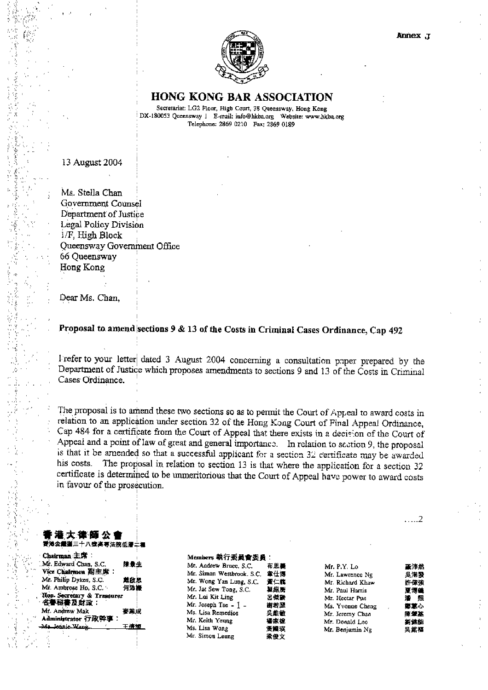

#### **HONG KONG BAR ASSOCIATION**

Secretariat: LG2 Floor, High Court, 38 Queensway, Hong Kong DX-180053 Queensway 1 E-mail: mfo@hkba.org Website: www.hkba.org Telephone: 2869 0210 Fax: 2869 0189

13 August 2004

Ms. Stella Chan Government Counsel Department of Justice Legal Policy Division 1/F, High Block Queensway Government Office 66 Oueensway Hong Kong

Dear Ms. Chan,

#### Proposal to amend sections 9 & 13 of the Costs in Criminal Cases Ordinance, Cap 492

Frefer to your letter dated 3 August 2004 concerning a consultation paper prepared by the Department of Justice which proposes amendments to sections 9 and 13 of the Costs in Criminal Cases Ordinance.

The proposal is to amend these two sections so as to permit the Court of Appeal to award costs in relation to an application under section 32 of the Hong Kong Court of Final Appeal Ordinance, Cap 484 for a certificate from the Court of Appeal that there exists in a decision of the Court of Appeal and a point of law of great and general importance. In relation to section 9, the proposal is that it be amended so that a successful applicant for a section 32 certificate may be awarded his costs. The proposal in relation to section 13 is that where the application for a section 32 certificate is determined to be unmeritorious that the Court of Appeal have power to award costs in favour of the prosecution.

#### |大 德 師 公 ! **賮淃僉繼獈三十八號高專法院低層二種**

| Chairman 主席:                           |      |
|----------------------------------------|------|
| Mr. Edward Chan, S.C.                  | 陳景生  |
| Vice Chairmen 副主席:                     |      |
| Mr. Philip Dykes, S.C.                 | 鳳啟思  |
| Mr. Ambrose Ho, S.C.                   | 何沛顺  |
| Hon. Secretary & Treasurer<br>名譽秘書及財政: |      |
| Mr. Andrew Mak                         | 要業成  |
| Administrator 行政幹事:                    |      |
| Ma Jounie Wang,                        | 王倩幅, |

#### Members 執行委員會委員:

| Mr. Andrew Bruce, S.C.    | 布思薯 | Mr. P.Y. Lo     |
|---------------------------|-----|-----------------|
| Mr. Simon Westbrook, S.C. | 童仕博 | Mr. Lawrence 1  |
| Mr. Wong Yan Lung, S.C.   | 責仁龍 | Mr. Richard Kl  |
| Mr. Jat Sew Tong, S.C.    | 植胡馬 | Mr. Paul Harris |
| Mr. Lui Kit Ling          | 呂傑動 | Mr. Hectar Pun  |
| Mr. Joseph Tsc - $1 -$    | 研密器 | Ms. Yvonne Ch   |
| Ms. Lisa Remedios         | 吳錐數 | Mr. Jeremy Ch.  |
| Mr. Keith Yeung           | 嬬志鉳 | Mr. Donald Lee  |
| Ms. Lisa Wong             | 夏國瑛 | Mr. Benjamin i  |
| Mr. Simon Leung           | 柔俊文 |                 |
|                           |     |                 |

. . . . . 2

| Lo        | 堇沛然 |
|-----------|-----|
| ence Ng   | 吳港發 |
| ard Khaw  | 许俚強 |
| Harris    | 夏博達 |
| ar Pun    | 清 熙 |
| ine Cheng | 每宣心 |
| ny Chan   | 陳望基 |
| dd Leo    | 劉健能 |
| amin Ng   | 吳銘樞 |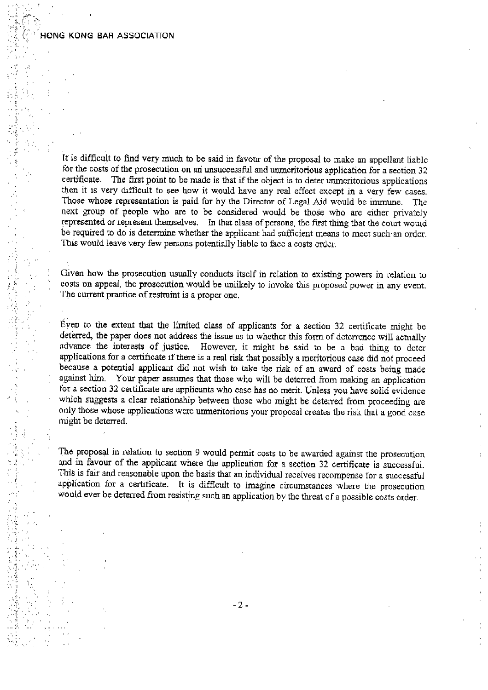#### HONG KONG BAR ASSOCIATION

It is difficult to find very much to be said in favour of the proposal to make an appellant liable for the costs of the prosecution on an unsuccessful and unmeritorious application for a section 32 certificate. The first point to be made is that if the object is to deter unmeritorious applications then it is very difficult to see how it would have any real effect except in a very few cases. Those whose representation is paid for by the Director of Legal Aid would be immune. The next group of people who are to be considered would be those who are either privately represented or represent themselves. In that class of persons, the first thing that the court would be required to do is determine whether the applicant had sufficient means to meet such an order. This would leave very few persons potentially liable to face a costs order.

Given how the prosecution usually conducts itself in relation to existing powers in relation to costs on appeal, the prosecution would be unlikely to invoke this proposed power in any event. The current practice of restraint is a proper one.

Eyen to the extent that the limited class of applicants for a section 32 certificate might be deterred, the paper does not address the issue as to whether this form of deterrence will actually advance the interests of justice. However, it might be said to be a bad thing to deter applications for a certificate if there is a real risk that possibly a meritorious case did not proceed because a potential applicant did not wish to take the risk of an award of costs being made against him. Your paper assumes that those who will be deterred from making an application for a section 32 certificate are applicants who case has no merit. Unless you have solid evidence which suggests a clear relationship between those who might be deterred from proceeding are only those whose applications were unmeritorious your proposal creates the risk that a good case might be deterred.

The proposal in relation to section 9 would permit costs to be awarded against the prosecution and in favour of the applicant where the application for a section 32 certificate is successful. This is fair and reasonable upon the basis that an individual receives recompense for a successful application for a certificate. It is difficult to imagine circumstances where the prosecution would ever be deterred from resisting such an application by the threat of a possible costs order.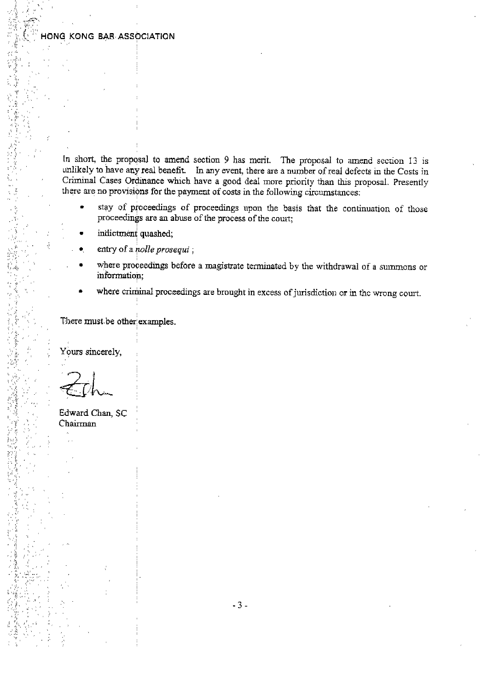#### HONG KONG BAR ASSOCIATION

In short, the proposal to amend section 9 has merit. The proposal to amend section 13 is unlikely to have any real benefit. In any event, there are a number of real defects in the Costs in Criminal Cases Ordinance which have a good deal more priority than this proposal. Presently there are no provisions for the payment of costs in the following circumstances.

- stay of proceedings of proceedings upon the basis that the continuation of those proceedings are an abuse of the process of the court;
- indictment quashed;
- entry of a nolle prosequi:
- where proceedings before a magistrate terminated by the withdrawal of a summons or information;
- where criminal proceedings are brought in excess of jurisdiction or in the wrong court.

There must be other examples.

Yours sincerely,

Edward Chan, SC Chairman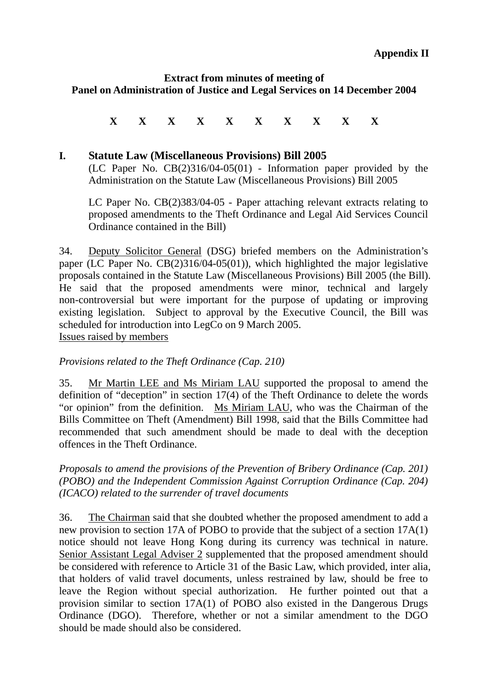#### **Extract from minutes of meeting of Panel on Administration of Justice and Legal Services on 14 December 2004**

## **X X X X X X X X X X**

#### **I. Statute Law (Miscellaneous Provisions) Bill 2005**

(LC Paper No. CB(2)316/04-05(01) - Information paper provided by the Administration on the Statute Law (Miscellaneous Provisions) Bill 2005

LC Paper No. CB(2)383/04-05 - Paper attaching relevant extracts relating to proposed amendments to the Theft Ordinance and Legal Aid Services Council Ordinance contained in the Bill)

34. Deputy Solicitor General (DSG) briefed members on the Administration's paper (LC Paper No. CB(2)316/04-05(01)), which highlighted the major legislative proposals contained in the Statute Law (Miscellaneous Provisions) Bill 2005 (the Bill). He said that the proposed amendments were minor, technical and largely non-controversial but were important for the purpose of updating or improving existing legislation. Subject to approval by the Executive Council, the Bill was scheduled for introduction into LegCo on 9 March 2005. Issues raised by members

#### *Provisions related to the Theft Ordinance (Cap. 210)*

35. Mr Martin LEE and Ms Miriam LAU supported the proposal to amend the definition of "deception" in section 17(4) of the Theft Ordinance to delete the words "or opinion" from the definition. Ms Miriam LAU, who was the Chairman of the Bills Committee on Theft (Amendment) Bill 1998, said that the Bills Committee had recommended that such amendment should be made to deal with the deception offences in the Theft Ordinance.

*Proposals to amend the provisions of the Prevention of Bribery Ordinance (Cap. 201) (POBO) and the Independent Commission Against Corruption Ordinance (Cap. 204) (ICACO) related to the surrender of travel documents*

36. The Chairman said that she doubted whether the proposed amendment to add a new provision to section 17A of POBO to provide that the subject of a section 17A(1) notice should not leave Hong Kong during its currency was technical in nature. Senior Assistant Legal Adviser 2 supplemented that the proposed amendment should be considered with reference to Article 31 of the Basic Law, which provided, inter alia, that holders of valid travel documents, unless restrained by law, should be free to leave the Region without special authorization. He further pointed out that a provision similar to section 17A(1) of POBO also existed in the Dangerous Drugs Ordinance (DGO). Therefore, whether or not a similar amendment to the DGO should be made should also be considered.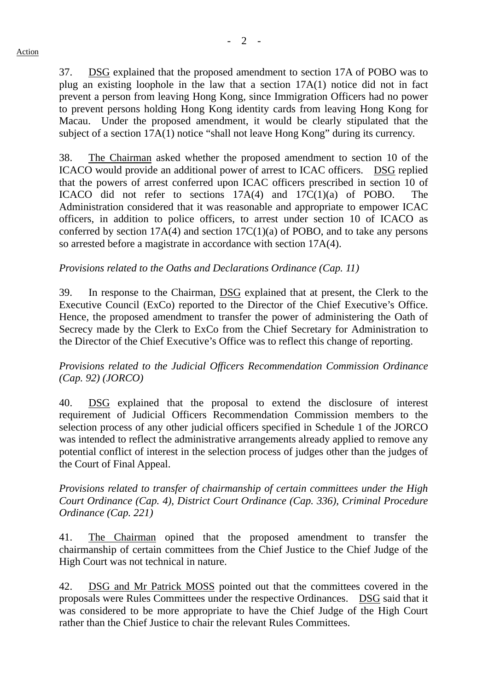37. DSG explained that the proposed amendment to section 17A of POBO was to plug an existing loophole in the law that a section 17A(1) notice did not in fact prevent a person from leaving Hong Kong, since Immigration Officers had no power to prevent persons holding Hong Kong identity cards from leaving Hong Kong for Macau. Under the proposed amendment, it would be clearly stipulated that the subject of a section 17A(1) notice "shall not leave Hong Kong" during its currency.

38. The Chairman asked whether the proposed amendment to section 10 of the ICACO would provide an additional power of arrest to ICAC officers. DSG replied that the powers of arrest conferred upon ICAC officers prescribed in section 10 of ICACO did not refer to sections 17A(4) and 17C(1)(a) of POBO. The Administration considered that it was reasonable and appropriate to empower ICAC officers, in addition to police officers, to arrest under section 10 of ICACO as conferred by section  $17A(4)$  and section  $17C(1)(a)$  of POBO, and to take any persons so arrested before a magistrate in accordance with section 17A(4).

## *Provisions related to the Oaths and Declarations Ordinance (Cap. 11)*

39. In response to the Chairman, DSG explained that at present, the Clerk to the Executive Council (ExCo) reported to the Director of the Chief Executive's Office. Hence, the proposed amendment to transfer the power of administering the Oath of Secrecy made by the Clerk to ExCo from the Chief Secretary for Administration to the Director of the Chief Executive's Office was to reflect this change of reporting.

*Provisions related to the Judicial Officers Recommendation Commission Ordinance (Cap. 92) (JORCO)*

40. DSG explained that the proposal to extend the disclosure of interest requirement of Judicial Officers Recommendation Commission members to the selection process of any other judicial officers specified in Schedule 1 of the JORCO was intended to reflect the administrative arrangements already applied to remove any potential conflict of interest in the selection process of judges other than the judges of the Court of Final Appeal.

*Provisions related to transfer of chairmanship of certain committees under the High Court Ordinance (Cap. 4), District Court Ordinance (Cap. 336), Criminal Procedure Ordinance (Cap. 221)*

41. The Chairman opined that the proposed amendment to transfer the chairmanship of certain committees from the Chief Justice to the Chief Judge of the High Court was not technical in nature.

42. DSG and Mr Patrick MOSS pointed out that the committees covered in the proposals were Rules Committees under the respective Ordinances. DSG said that it was considered to be more appropriate to have the Chief Judge of the High Court rather than the Chief Justice to chair the relevant Rules Committees.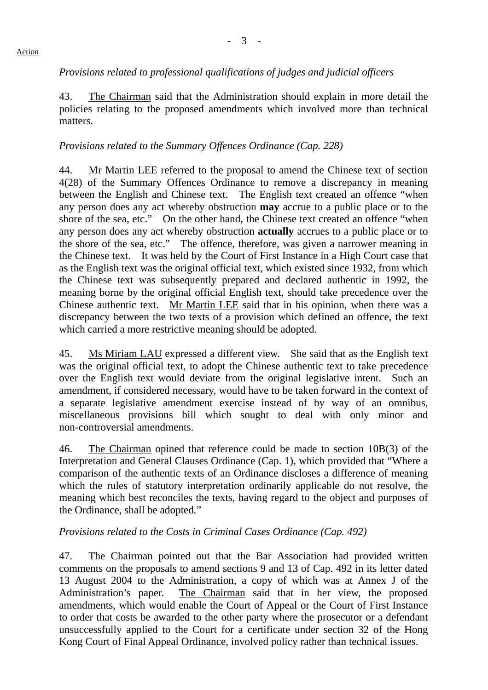#### *Provisions related to professional qualifications of judges and judicial officers*

43. The Chairman said that the Administration should explain in more detail the policies relating to the proposed amendments which involved more than technical matters.

#### *Provisions related to the Summary Offences Ordinance (Cap. 228)*

44. Mr Martin LEE referred to the proposal to amend the Chinese text of section 4(28) of the Summary Offences Ordinance to remove a discrepancy in meaning between the English and Chinese text. The English text created an offence "when any person does any act whereby obstruction **may** accrue to a public place or to the shore of the sea, etc." On the other hand, the Chinese text created an offence "when any person does any act whereby obstruction **actually** accrues to a public place or to the shore of the sea, etc." The offence, therefore, was given a narrower meaning in the Chinese text. It was held by the Court of First Instance in a High Court case that as the English text was the original official text, which existed since 1932, from which the Chinese text was subsequently prepared and declared authentic in 1992, the meaning borne by the original official English text, should take precedence over the Chinese authentic text. Mr Martin LEE said that in his opinion, when there was a discrepancy between the two texts of a provision which defined an offence, the text which carried a more restrictive meaning should be adopted.

45. Ms Miriam LAU expressed a different view. She said that as the English text was the original official text, to adopt the Chinese authentic text to take precedence over the English text would deviate from the original legislative intent. Such an amendment, if considered necessary, would have to be taken forward in the context of a separate legislative amendment exercise instead of by way of an omnibus, miscellaneous provisions bill which sought to deal with only minor and non-controversial amendments.

46. The Chairman opined that reference could be made to section 10B(3) of the Interpretation and General Clauses Ordinance (Cap. 1), which provided that "Where a comparison of the authentic texts of an Ordinance discloses a difference of meaning which the rules of statutory interpretation ordinarily applicable do not resolve, the meaning which best reconciles the texts, having regard to the object and purposes of the Ordinance, shall be adopted*.*"

#### *Provisions related to the Costs in Criminal Cases Ordinance (Cap. 492)*

47. The Chairman pointed out that the Bar Association had provided written comments on the proposals to amend sections 9 and 13 of Cap. 492 in its letter dated 13 August 2004 to the Administration, a copy of which was at Annex J of the Administration's paper. The Chairman said that in her view, the proposed amendments, which would enable the Court of Appeal or the Court of First Instance to order that costs be awarded to the other party where the prosecutor or a defendant unsuccessfully applied to the Court for a certificate under section 32 of the Hong Kong Court of Final Appeal Ordinance, involved policy rather than technical issues.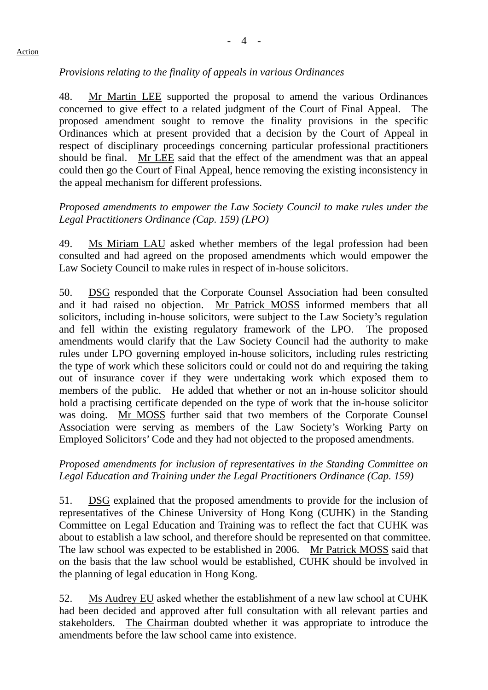#### *Provisions relating to the finality of appeals in various Ordinances*

48. Mr Martin LEE supported the proposal to amend the various Ordinances concerned to give effect to a related judgment of the Court of Final Appeal. The proposed amendment sought to remove the finality provisions in the specific Ordinances which at present provided that a decision by the Court of Appeal in respect of disciplinary proceedings concerning particular professional practitioners should be final. Mr LEE said that the effect of the amendment was that an appeal could then go the Court of Final Appeal, hence removing the existing inconsistency in the appeal mechanism for different professions.

#### *Proposed amendments to empower the Law Society Council to make rules under the Legal Practitioners Ordinance (Cap. 159) (LPO)*

49. Ms Miriam LAU asked whether members of the legal profession had been consulted and had agreed on the proposed amendments which would empower the Law Society Council to make rules in respect of in-house solicitors.

50. DSG responded that the Corporate Counsel Association had been consulted and it had raised no objection. Mr Patrick MOSS informed members that all solicitors, including in-house solicitors, were subject to the Law Society's regulation and fell within the existing regulatory framework of the LPO. The proposed amendments would clarify that the Law Society Council had the authority to make rules under LPO governing employed in-house solicitors, including rules restricting the type of work which these solicitors could or could not do and requiring the taking out of insurance cover if they were undertaking work which exposed them to members of the public. He added that whether or not an in-house solicitor should hold a practising certificate depended on the type of work that the in-house solicitor was doing. Mr MOSS further said that two members of the Corporate Counsel Association were serving as members of the Law Society's Working Party on Employed Solicitors' Code and they had not objected to the proposed amendments.

#### *Proposed amendments for inclusion of representatives in the Standing Committee on Legal Education and Training under the Legal Practitioners Ordinance (Cap. 159)*

51. DSG explained that the proposed amendments to provide for the inclusion of representatives of the Chinese University of Hong Kong (CUHK) in the Standing Committee on Legal Education and Training was to reflect the fact that CUHK was about to establish a law school, and therefore should be represented on that committee. The law school was expected to be established in 2006. Mr Patrick MOSS said that on the basis that the law school would be established, CUHK should be involved in the planning of legal education in Hong Kong.

52. Ms Audrey EU asked whether the establishment of a new law school at CUHK had been decided and approved after full consultation with all relevant parties and stakeholders. The Chairman doubted whether it was appropriate to introduce the amendments before the law school came into existence.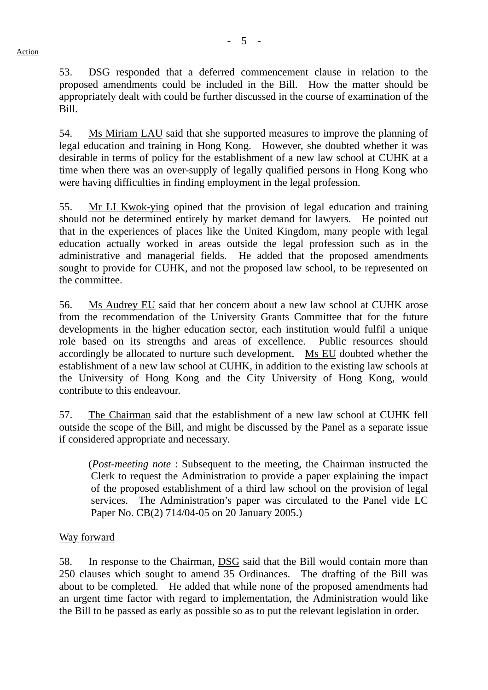53. DSG responded that a deferred commencement clause in relation to the proposed amendments could be included in the Bill. How the matter should be appropriately dealt with could be further discussed in the course of examination of the Bill.

54. Ms Miriam LAU said that she supported measures to improve the planning of legal education and training in Hong Kong. However, she doubted whether it was desirable in terms of policy for the establishment of a new law school at CUHK at a time when there was an over-supply of legally qualified persons in Hong Kong who were having difficulties in finding employment in the legal profession.

55. Mr LI Kwok-ying opined that the provision of legal education and training should not be determined entirely by market demand for lawyers. He pointed out that in the experiences of places like the United Kingdom, many people with legal education actually worked in areas outside the legal profession such as in the administrative and managerial fields. He added that the proposed amendments sought to provide for CUHK, and not the proposed law school, to be represented on the committee.

56. Ms Audrey EU said that her concern about a new law school at CUHK arose from the recommendation of the University Grants Committee that for the future developments in the higher education sector, each institution would fulfil a unique role based on its strengths and areas of excellence. Public resources should accordingly be allocated to nurture such development. Ms EU doubted whether the establishment of a new law school at CUHK, in addition to the existing law schools at the University of Hong Kong and the City University of Hong Kong, would contribute to this endeavour.

57. The Chairman said that the establishment of a new law school at CUHK fell outside the scope of the Bill, and might be discussed by the Panel as a separate issue if considered appropriate and necessary.

 (*Post-meeting note* : Subsequent to the meeting, the Chairman instructed the Clerk to request the Administration to provide a paper explaining the impact of the proposed establishment of a third law school on the provision of legal services. The Administration's paper was circulated to the Panel vide LC Paper No. CB(2) 714/04-05 on 20 January 2005.)

#### Way forward

58. In response to the Chairman, DSG said that the Bill would contain more than 250 clauses which sought to amend 35 Ordinances. The drafting of the Bill was about to be completed. He added that while none of the proposed amendments had an urgent time factor with regard to implementation, the Administration would like the Bill to be passed as early as possible so as to put the relevant legislation in order.